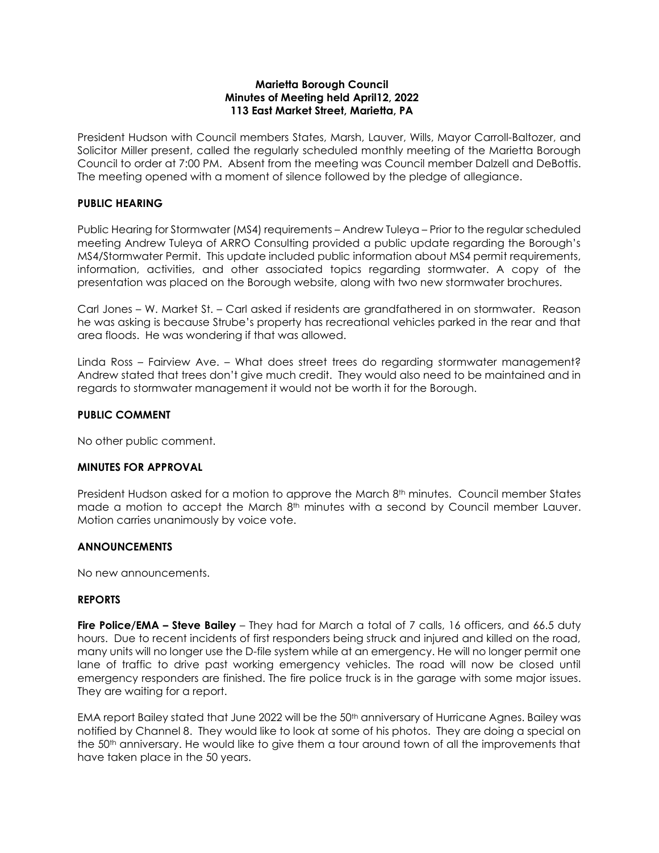### **Marietta Borough Council Minutes of Meeting held April12, 2022 113 East Market Street, Marietta, PA**

President Hudson with Council members States, Marsh, Lauver, Wills, Mayor Carroll-Baltozer, and Solicitor Miller present, called the regularly scheduled monthly meeting of the Marietta Borough Council to order at 7:00 PM. Absent from the meeting was Council member Dalzell and DeBottis. The meeting opened with a moment of silence followed by the pledge of allegiance.

## **PUBLIC HEARING**

Public Hearing for Stormwater (MS4) requirements – Andrew Tuleya – Prior to the regular scheduled meeting Andrew Tuleya of ARRO Consulting provided a public update regarding the Borough's MS4/Stormwater Permit. This update included public information about MS4 permit requirements, information, activities, and other associated topics regarding stormwater. A copy of the presentation was placed on the Borough website, along with two new stormwater brochures.

Carl Jones – W. Market St. – Carl asked if residents are grandfathered in on stormwater. Reason he was asking is because Strube's property has recreational vehicles parked in the rear and that area floods. He was wondering if that was allowed.

Linda Ross – Fairview Ave. – What does street trees do regarding stormwater management? Andrew stated that trees don't give much credit. They would also need to be maintained and in regards to stormwater management it would not be worth it for the Borough.

### **PUBLIC COMMENT**

No other public comment.

### **MINUTES FOR APPROVAL**

President Hudson asked for a motion to approve the March  $8<sup>th</sup>$  minutes. Council member States made a motion to accept the March 8<sup>th</sup> minutes with a second by Council member Lauver. Motion carries unanimously by voice vote.

#### **ANNOUNCEMENTS**

No new announcements.

#### **REPORTS**

**Fire Police/EMA – Steve Bailey** – They had for March a total of 7 calls, 16 officers, and 66.5 duty hours. Due to recent incidents of first responders being struck and injured and killed on the road, many units will no longer use the D-file system while at an emergency. He will no longer permit one lane of traffic to drive past working emergency vehicles. The road will now be closed until emergency responders are finished. The fire police truck is in the garage with some major issues. They are waiting for a report.

EMA report Bailey stated that June 2022 will be the 50<sup>th</sup> anniversary of Hurricane Agnes. Bailey was notified by Channel 8. They would like to look at some of his photos. They are doing a special on the 50th anniversary. He would like to give them a tour around town of all the improvements that have taken place in the 50 years.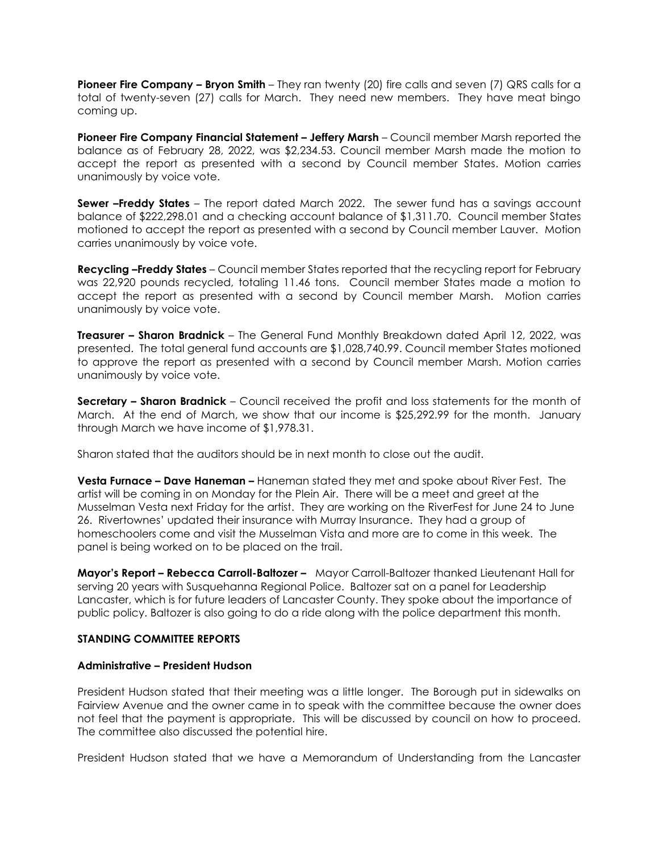**Pioneer Fire Company – Bryon Smith** – They ran twenty (20) fire calls and seven (7) QRS calls for a total of twenty-seven (27) calls for March. They need new members. They have meat bingo coming up.

**Pioneer Fire Company Financial Statement – Jeffery Marsh** – Council member Marsh reported the balance as of February 28, 2022, was \$2,234.53. Council member Marsh made the motion to accept the report as presented with a second by Council member States. Motion carries unanimously by voice vote.

**Sewer –Freddy States** – The report dated March 2022. The sewer fund has a savings account balance of \$222,298.01 and a checking account balance of \$1,311.70. Council member States motioned to accept the report as presented with a second by Council member Lauver. Motion carries unanimously by voice vote.

**Recycling –Freddy States** – Council member States reported that the recycling report for February was 22,920 pounds recycled, totaling 11.46 tons. Council member States made a motion to accept the report as presented with a second by Council member Marsh. Motion carries unanimously by voice vote.

**Treasurer – Sharon Bradnick** – The General Fund Monthly Breakdown dated April 12, 2022, was presented. The total general fund accounts are \$1,028,740.99. Council member States motioned to approve the report as presented with a second by Council member Marsh. Motion carries unanimously by voice vote.

**Secretary – Sharon Bradnick** – Council received the profit and loss statements for the month of March. At the end of March, we show that our income is \$25,292.99 for the month. January through March we have income of \$1,978.31.

Sharon stated that the auditors should be in next month to close out the audit.

**Vesta Furnace – Dave Haneman –** Haneman stated they met and spoke about River Fest. The artist will be coming in on Monday for the Plein Air. There will be a meet and greet at the Musselman Vesta next Friday for the artist. They are working on the RiverFest for June 24 to June 26. Rivertownes' updated their insurance with Murray Insurance. They had a group of homeschoolers come and visit the Musselman Vista and more are to come in this week. The panel is being worked on to be placed on the trail.

**Mayor's Report – Rebecca Carroll-Baltozer –** Mayor Carroll-Baltozer thanked Lieutenant Hall for serving 20 years with Susquehanna Regional Police. Baltozer sat on a panel for Leadership Lancaster, which is for future leaders of Lancaster County. They spoke about the importance of public policy. Baltozer is also going to do a ride along with the police department this month.

# **STANDING COMMITTEE REPORTS**

#### **Administrative – President Hudson**

President Hudson stated that their meeting was a little longer. The Borough put in sidewalks on Fairview Avenue and the owner came in to speak with the committee because the owner does not feel that the payment is appropriate. This will be discussed by council on how to proceed. The committee also discussed the potential hire.

President Hudson stated that we have a Memorandum of Understanding from the Lancaster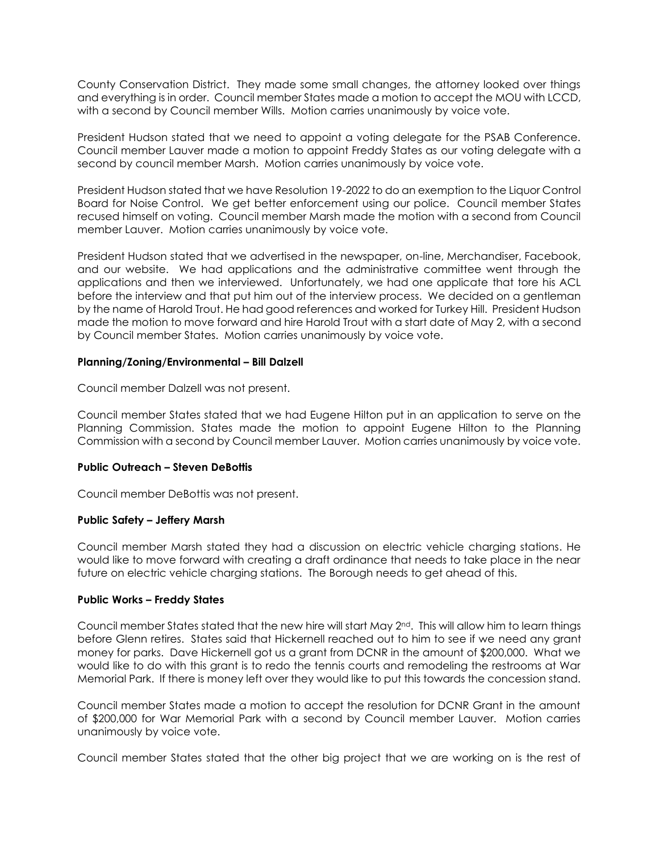County Conservation District. They made some small changes, the attorney looked over things and everything is in order. Council member States made a motion to accept the MOU with LCCD, with a second by Council member Wills. Motion carries unanimously by voice vote.

President Hudson stated that we need to appoint a voting delegate for the PSAB Conference. Council member Lauver made a motion to appoint Freddy States as our voting delegate with a second by council member Marsh. Motion carries unanimously by voice vote.

President Hudson stated that we have Resolution 19-2022 to do an exemption to the Liquor Control Board for Noise Control. We get better enforcement using our police. Council member States recused himself on voting. Council member Marsh made the motion with a second from Council member Lauver. Motion carries unanimously by voice vote.

President Hudson stated that we advertised in the newspaper, on-line, Merchandiser, Facebook, and our website. We had applications and the administrative committee went through the applications and then we interviewed. Unfortunately, we had one applicate that tore his ACL before the interview and that put him out of the interview process. We decided on a gentleman by the name of Harold Trout. He had good references and worked for Turkey Hill. President Hudson made the motion to move forward and hire Harold Trout with a start date of May 2, with a second by Council member States. Motion carries unanimously by voice vote.

#### **Planning/Zoning/Environmental – Bill Dalzell**

Council member Dalzell was not present.

Council member States stated that we had Eugene Hilton put in an application to serve on the Planning Commission. States made the motion to appoint Eugene Hilton to the Planning Commission with a second by Council member Lauver. Motion carries unanimously by voice vote.

## **Public Outreach – Steven DeBottis**

Council member DeBottis was not present.

## **Public Safety – Jeffery Marsh**

Council member Marsh stated they had a discussion on electric vehicle charging stations. He would like to move forward with creating a draft ordinance that needs to take place in the near future on electric vehicle charging stations. The Borough needs to get ahead of this.

## **Public Works – Freddy States**

Council member States stated that the new hire will start May 2nd. This will allow him to learn things before Glenn retires. States said that Hickernell reached out to him to see if we need any grant money for parks. Dave Hickernell got us a grant from DCNR in the amount of \$200,000. What we would like to do with this grant is to redo the tennis courts and remodeling the restrooms at War Memorial Park. If there is money left over they would like to put this towards the concession stand.

Council member States made a motion to accept the resolution for DCNR Grant in the amount of \$200,000 for War Memorial Park with a second by Council member Lauver. Motion carries unanimously by voice vote.

Council member States stated that the other big project that we are working on is the rest of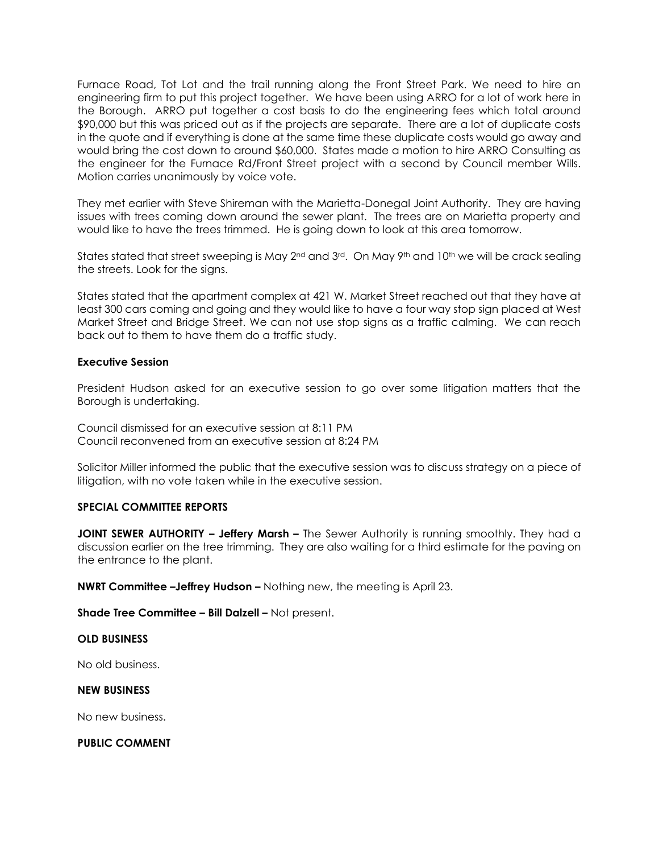Furnace Road, Tot Lot and the trail running along the Front Street Park. We need to hire an engineering firm to put this project together. We have been using ARRO for a lot of work here in the Borough. ARRO put together a cost basis to do the engineering fees which total around \$90,000 but this was priced out as if the projects are separate. There are a lot of duplicate costs in the quote and if everything is done at the same time these duplicate costs would go away and would bring the cost down to around \$60,000. States made a motion to hire ARRO Consulting as the engineer for the Furnace Rd/Front Street project with a second by Council member Wills. Motion carries unanimously by voice vote.

They met earlier with Steve Shireman with the Marietta-Donegal Joint Authority. They are having issues with trees coming down around the sewer plant. The trees are on Marietta property and would like to have the trees trimmed. He is going down to look at this area tomorrow.

States stated that street sweeping is May 2<sup>nd</sup> and 3<sup>rd</sup>. On May 9<sup>th</sup> and 10<sup>th</sup> we will be crack sealing the streets. Look for the signs.

States stated that the apartment complex at 421 W. Market Street reached out that they have at least 300 cars coming and going and they would like to have a four way stop sign placed at West Market Street and Bridge Street. We can not use stop signs as a traffic calming. We can reach back out to them to have them do a traffic study.

### **Executive Session**

President Hudson asked for an executive session to go over some litigation matters that the Borough is undertaking.

Council dismissed for an executive session at 8:11 PM Council reconvened from an executive session at 8:24 PM

Solicitor Miller informed the public that the executive session was to discuss strategy on a piece of litigation, with no vote taken while in the executive session.

#### **SPECIAL COMMITTEE REPORTS**

**JOINT SEWER AUTHORITY – Jeffery Marsh –** The Sewer Authority is running smoothly. They had a discussion earlier on the tree trimming. They are also waiting for a third estimate for the paving on the entrance to the plant.

**NWRT Committee –Jeffrey Hudson –** Nothing new, the meeting is April 23.

**Shade Tree Committee – Bill Dalzell –** Not present.

### **OLD BUSINESS**

No old business.

#### **NEW BUSINESS**

No new business.

**PUBLIC COMMENT**